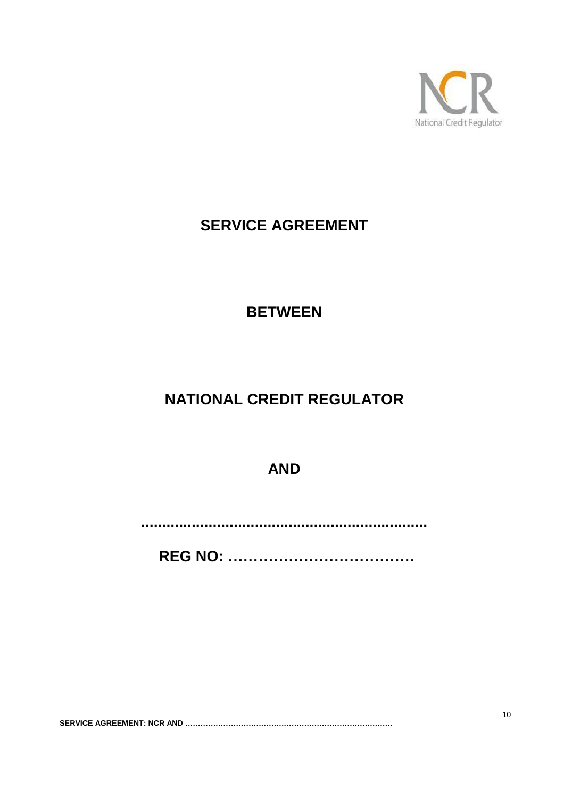

# **SERVICE AGREEMENT**

# **BETWEEN**

# **NATIONAL CREDIT REGULATOR**

**AND**

**....................................................................**

**REG NO: ……………………………….**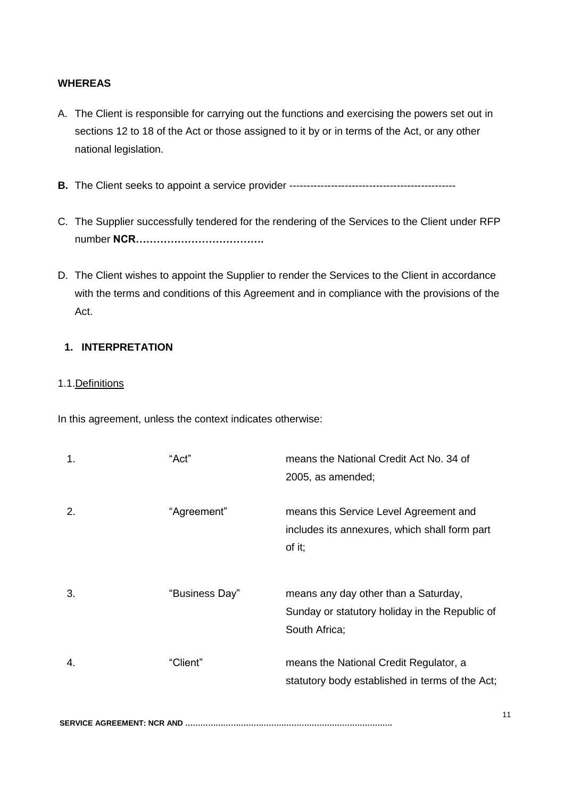#### **WHEREAS**

- A. The Client is responsible for carrying out the functions and exercising the powers set out in [sections](http://bglexis/nxt/gateway.dll/jilc/kilc/ebsg/oh5na/ph5na/1h5na?f=templates$fn=document-frameset.htm#9p) 12 to [18](http://bglexis/nxt/gateway.dll/jilc/kilc/ebsg/oh5na/ph5na/7h5na?f=templates$fn=document-frameset.htm#c9) of the Act or those assigned to it by or in terms of the Act, or any other national legislation.
- **B.** The Client seeks to appoint a service provider ------------------------------------------------
- C. The Supplier successfully tendered for the rendering of the Services to the Client under RFP number **NCR……………………………….**
- D. The Client wishes to appoint the Supplier to render the Services to the Client in accordance with the terms and conditions of this Agreement and in compliance with the provisions of the Act.

### **1. INTERPRETATION**

#### 1.1.Definitions

In this agreement, unless the context indicates otherwise:

| 1. | "Act"          | means the National Credit Act No. 34 of<br>2005, as amended;                                            |
|----|----------------|---------------------------------------------------------------------------------------------------------|
| 2. | "Agreement"    | means this Service Level Agreement and<br>includes its annexures, which shall form part<br>of it;       |
| 3. | "Business Day" | means any day other than a Saturday,<br>Sunday or statutory holiday in the Republic of<br>South Africa; |
| 4. | "Client"       | means the National Credit Regulator, a<br>statutory body established in terms of the Act;               |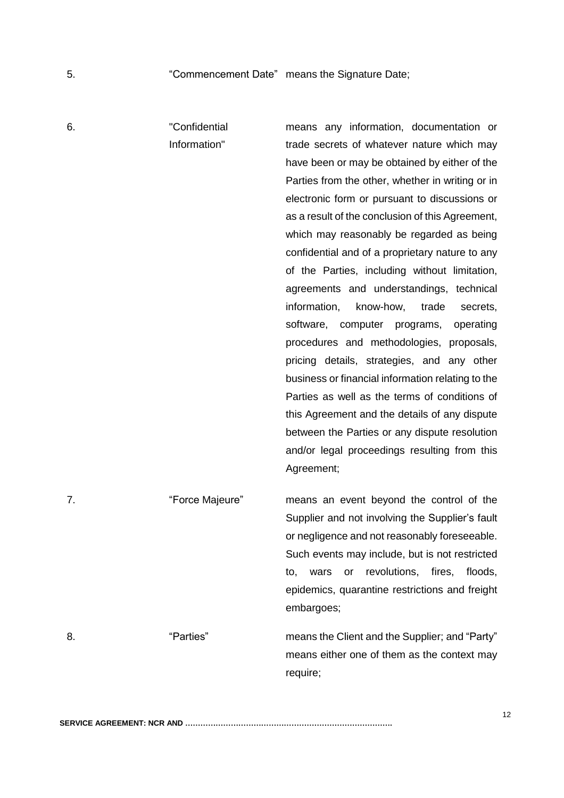| 6. | "Confidential<br>Information" | means any information, documentation or<br>trade secrets of whatever nature which may<br>have been or may be obtained by either of the<br>Parties from the other, whether in writing or in<br>electronic form or pursuant to discussions or<br>as a result of the conclusion of this Agreement,<br>which may reasonably be regarded as being<br>confidential and of a proprietary nature to any<br>of the Parties, including without limitation,<br>agreements and understandings, technical<br>information,<br>know-how,<br>trade<br>secrets,<br>software, computer programs,<br>operating<br>procedures and methodologies, proposals,<br>pricing details, strategies, and any other<br>business or financial information relating to the<br>Parties as well as the terms of conditions of<br>this Agreement and the details of any dispute |  |
|----|-------------------------------|----------------------------------------------------------------------------------------------------------------------------------------------------------------------------------------------------------------------------------------------------------------------------------------------------------------------------------------------------------------------------------------------------------------------------------------------------------------------------------------------------------------------------------------------------------------------------------------------------------------------------------------------------------------------------------------------------------------------------------------------------------------------------------------------------------------------------------------------|--|
|    |                               | between the Parties or any dispute resolution<br>and/or legal proceedings resulting from this<br>Agreement;                                                                                                                                                                                                                                                                                                                                                                                                                                                                                                                                                                                                                                                                                                                                  |  |
| 7. | "Force Majeure"               | means an event beyond the control of the<br>Supplier and not involving the Supplier's fault<br>or negligence and not reasonably foreseeable.<br>Such events may include, but is not restricted<br>revolutions, fires,<br>floods,<br>wars<br>or<br>to,<br>epidemics, quarantine restrictions and freight<br>embargoes;                                                                                                                                                                                                                                                                                                                                                                                                                                                                                                                        |  |
| 8. | "Parties"                     | means the Client and the Supplier; and "Party"<br>means either one of them as the context may                                                                                                                                                                                                                                                                                                                                                                                                                                                                                                                                                                                                                                                                                                                                                |  |

require;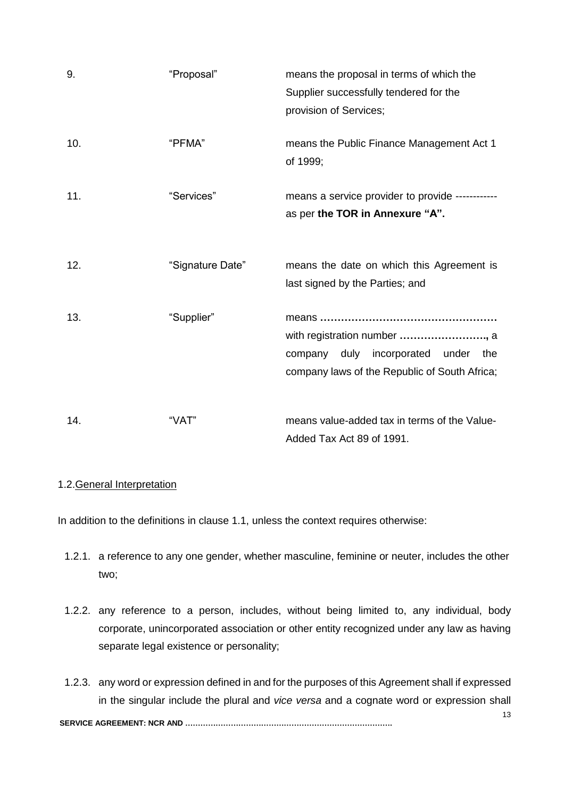| 9.  | "Proposal"       | means the proposal in terms of which the<br>Supplier successfully tendered for the<br>provision of Services;                  |  |
|-----|------------------|-------------------------------------------------------------------------------------------------------------------------------|--|
| 10. | "PFMA"           | means the Public Finance Management Act 1<br>of 1999;                                                                         |  |
| 11. | "Services"       | means a service provider to provide -----------<br>as per the TOR in Annexure "A".                                            |  |
| 12. | "Signature Date" | means the date on which this Agreement is<br>last signed by the Parties; and                                                  |  |
| 13. | "Supplier"       | with registration number , a<br>company duly<br>incorporated<br>under<br>the<br>company laws of the Republic of South Africa; |  |
| 14. | "VAT"            | means value-added tax in terms of the Value-<br>Added Tax Act 89 of 1991.                                                     |  |

# 1.2.General Interpretation

In addition to the definitions in clause 1.1, unless the context requires otherwise:

- 1.2.1. a reference to any one gender, whether masculine, feminine or neuter, includes the other two;
- 1.2.2. any reference to a person, includes, without being limited to, any individual, body corporate, unincorporated association or other entity recognized under any law as having separate legal existence or personality;
- 13 **SERVICE AGREEMENT: NCR AND ……………………………………………………………………….** 1.2.3. any word or expression defined in and for the purposes of this Agreement shall if expressed in the singular include the plural and *vice versa* and a cognate word or expression shall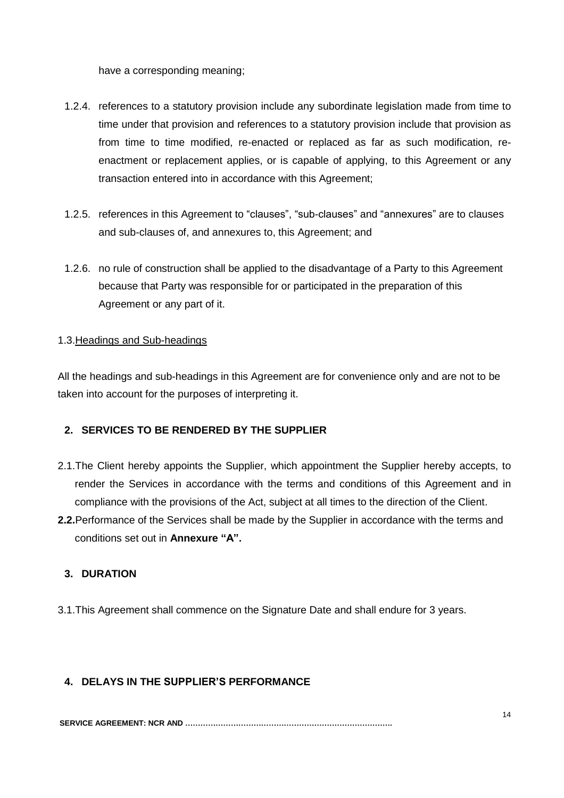have a corresponding meaning;

- 1.2.4. references to a statutory provision include any subordinate legislation made from time to time under that provision and references to a statutory provision include that provision as from time to time modified, re-enacted or replaced as far as such modification, reenactment or replacement applies, or is capable of applying, to this Agreement or any transaction entered into in accordance with this Agreement;
- 1.2.5. references in this Agreement to "clauses", "sub-clauses" and "annexures" are to clauses and sub-clauses of, and annexures to, this Agreement; and
- 1.2.6. no rule of construction shall be applied to the disadvantage of a Party to this Agreement because that Party was responsible for or participated in the preparation of this Agreement or any part of it.

## 1.3.Headings and Sub-headings

All the headings and sub-headings in this Agreement are for convenience only and are not to be taken into account for the purposes of interpreting it.

# **2. SERVICES TO BE RENDERED BY THE SUPPLIER**

- 2.1.The Client hereby appoints the Supplier, which appointment the Supplier hereby accepts, to render the Services in accordance with the terms and conditions of this Agreement and in compliance with the provisions of the Act, subject at all times to the direction of the Client.
- **2.2.**Performance of the Services shall be made by the Supplier in accordance with the terms and conditions set out in **Annexure "A".**

# **3. DURATION**

3.1.This Agreement shall commence on the Signature Date and shall endure for 3 years.

# **4. DELAYS IN THE SUPPLIER'S PERFORMANCE**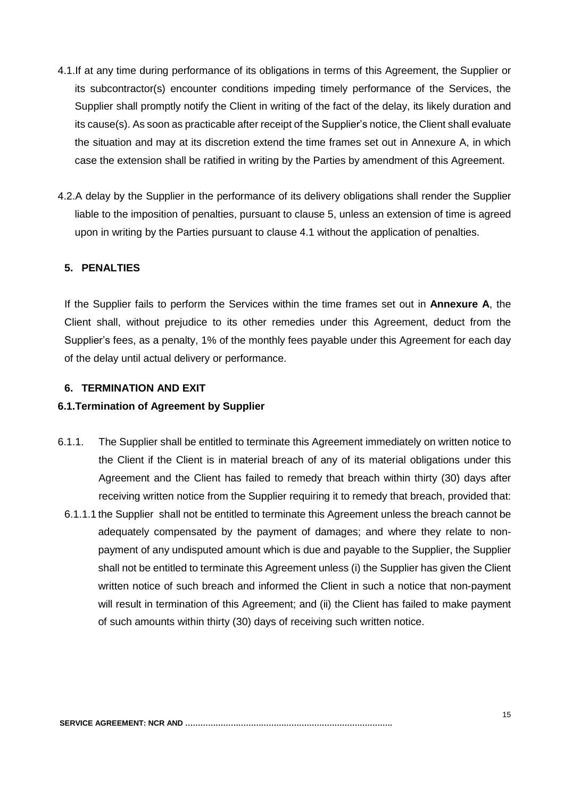- 4.1.If at any time during performance of its obligations in terms of this Agreement, the Supplier or its subcontractor(s) encounter conditions impeding timely performance of the Services, the Supplier shall promptly notify the Client in writing of the fact of the delay, its likely duration and its cause(s). As soon as practicable after receipt of the Supplier's notice, the Client shall evaluate the situation and may at its discretion extend the time frames set out in Annexure A, in which case the extension shall be ratified in writing by the Parties by amendment of this Agreement.
- 4.2.A delay by the Supplier in the performance of its delivery obligations shall render the Supplier liable to the imposition of penalties, pursuant to clause 5, unless an extension of time is agreed upon in writing by the Parties pursuant to clause 4.1 without the application of penalties.

## **5. PENALTIES**

If the Supplier fails to perform the Services within the time frames set out in **Annexure A**, the Client shall, without prejudice to its other remedies under this Agreement, deduct from the Supplier's fees, as a penalty, 1% of the monthly fees payable under this Agreement for each day of the delay until actual delivery or performance.

#### **6. TERMINATION AND EXIT**

#### **6.1.Termination of Agreement by Supplier**

- 6.1.1. The Supplier shall be entitled to terminate this Agreement immediately on written notice to the Client if the Client is in material breach of any of its material obligations under this Agreement and the Client has failed to remedy that breach within thirty (30) days after receiving written notice from the Supplier requiring it to remedy that breach, provided that:
- 6.1.1.1 the Supplier shall not be entitled to terminate this Agreement unless the breach cannot be adequately compensated by the payment of damages; and where they relate to nonpayment of any undisputed amount which is due and payable to the Supplier, the Supplier shall not be entitled to terminate this Agreement unless (i) the Supplier has given the Client written notice of such breach and informed the Client in such a notice that non-payment will result in termination of this Agreement; and (ii) the Client has failed to make payment of such amounts within thirty (30) days of receiving such written notice.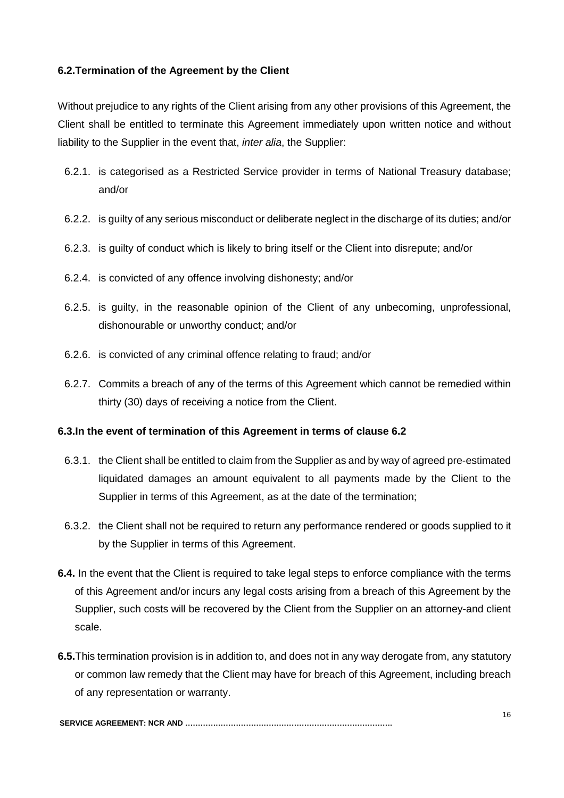## **6.2.Termination of the Agreement by the Client**

Without prejudice to any rights of the Client arising from any other provisions of this Agreement, the Client shall be entitled to terminate this Agreement immediately upon written notice and without liability to the Supplier in the event that, *inter alia*, the Supplier:

- 6.2.1. is categorised as a Restricted Service provider in terms of National Treasury database; and/or
- 6.2.2. is guilty of any serious misconduct or deliberate neglect in the discharge of its duties; and/or
- 6.2.3. is guilty of conduct which is likely to bring itself or the Client into disrepute; and/or
- 6.2.4. is convicted of any offence involving dishonesty; and/or
- 6.2.5. is guilty, in the reasonable opinion of the Client of any unbecoming, unprofessional, dishonourable or unworthy conduct; and/or
- 6.2.6. is convicted of any criminal offence relating to fraud; and/or
- 6.2.7. Commits a breach of any of the terms of this Agreement which cannot be remedied within thirty (30) days of receiving a notice from the Client.

#### **6.3.In the event of termination of this Agreement in terms of clause 6.2**

- 6.3.1. the Client shall be entitled to claim from the Supplier as and by way of agreed pre-estimated liquidated damages an amount equivalent to all payments made by the Client to the Supplier in terms of this Agreement, as at the date of the termination;
- 6.3.2. the Client shall not be required to return any performance rendered or goods supplied to it by the Supplier in terms of this Agreement.
- **6.4.** In the event that the Client is required to take legal steps to enforce compliance with the terms of this Agreement and/or incurs any legal costs arising from a breach of this Agreement by the Supplier, such costs will be recovered by the Client from the Supplier on an attorney-and client scale.
- **6.5.**This termination provision is in addition to, and does not in any way derogate from, any statutory or common law remedy that the Client may have for breach of this Agreement, including breach of any representation or warranty.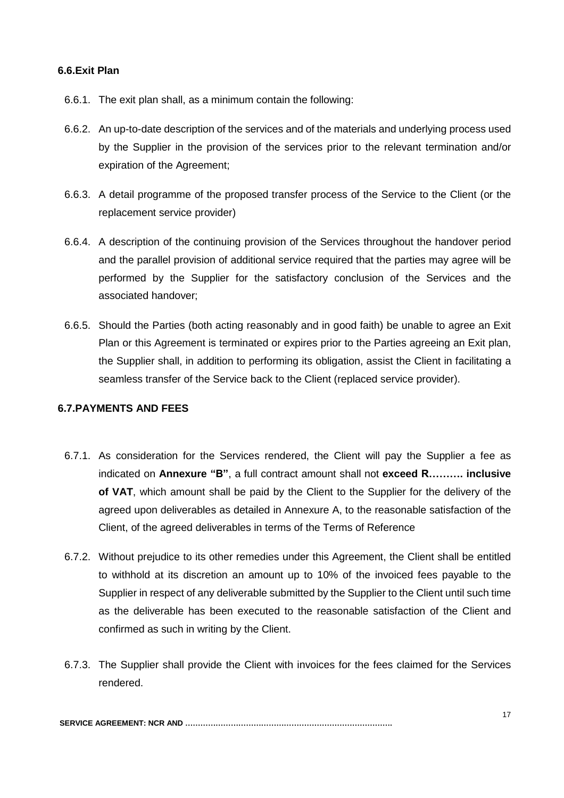#### **6.6.Exit Plan**

- 6.6.1. The exit plan shall, as a minimum contain the following:
- 6.6.2. An up-to-date description of the services and of the materials and underlying process used by the Supplier in the provision of the services prior to the relevant termination and/or expiration of the Agreement;
- 6.6.3. A detail programme of the proposed transfer process of the Service to the Client (or the replacement service provider)
- 6.6.4. A description of the continuing provision of the Services throughout the handover period and the parallel provision of additional service required that the parties may agree will be performed by the Supplier for the satisfactory conclusion of the Services and the associated handover;
- 6.6.5. Should the Parties (both acting reasonably and in good faith) be unable to agree an Exit Plan or this Agreement is terminated or expires prior to the Parties agreeing an Exit plan, the Supplier shall, in addition to performing its obligation, assist the Client in facilitating a seamless transfer of the Service back to the Client (replaced service provider).

# **6.7.PAYMENTS AND FEES**

- 6.7.1. As consideration for the Services rendered, the Client will pay the Supplier a fee as indicated on **Annexure "B"**, a full contract amount shall not **exceed R………. inclusive of VAT**, which amount shall be paid by the Client to the Supplier for the delivery of the agreed upon deliverables as detailed in Annexure A, to the reasonable satisfaction of the Client, of the agreed deliverables in terms of the Terms of Reference
- 6.7.2. Without prejudice to its other remedies under this Agreement, the Client shall be entitled to withhold at its discretion an amount up to 10% of the invoiced fees payable to the Supplier in respect of any deliverable submitted by the Supplier to the Client until such time as the deliverable has been executed to the reasonable satisfaction of the Client and confirmed as such in writing by the Client.
- 6.7.3. The Supplier shall provide the Client with invoices for the fees claimed for the Services rendered.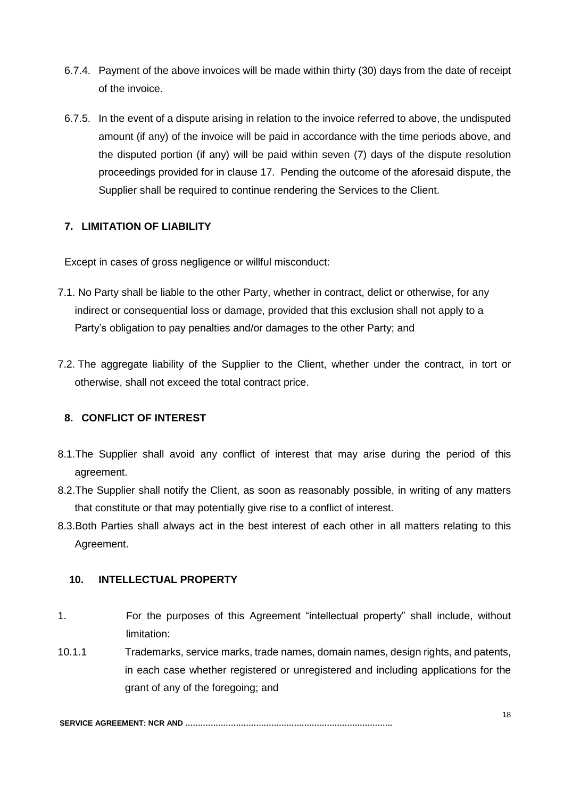- 6.7.4. Payment of the above invoices will be made within thirty (30) days from the date of receipt of the invoice.
- 6.7.5. In the event of a dispute arising in relation to the invoice referred to above, the undisputed amount (if any) of the invoice will be paid in accordance with the time periods above, and the disputed portion (if any) will be paid within seven (7) days of the dispute resolution proceedings provided for in clause 17. Pending the outcome of the aforesaid dispute, the Supplier shall be required to continue rendering the Services to the Client.

# **7. LIMITATION OF LIABILITY**

Except in cases of gross negligence or willful misconduct:

- 7.1. No Party shall be liable to the other Party, whether in contract, delict or otherwise, for any indirect or consequential loss or damage, provided that this exclusion shall not apply to a Party's obligation to pay penalties and/or damages to the other Party; and
- 7.2. The aggregate liability of the Supplier to the Client, whether under the contract, in tort or otherwise, shall not exceed the total contract price.

# **8. CONFLICT OF INTEREST**

- 8.1.The Supplier shall avoid any conflict of interest that may arise during the period of this agreement.
- 8.2.The Supplier shall notify the Client, as soon as reasonably possible, in writing of any matters that constitute or that may potentially give rise to a conflict of interest.
- 8.3.Both Parties shall always act in the best interest of each other in all matters relating to this Agreement.

#### **10. INTELLECTUAL PROPERTY**

- 1. For the purposes of this Agreement "intellectual property" shall include, without limitation:
- 10.1.1 Trademarks, service marks, trade names, domain names, design rights, and patents, in each case whether registered or unregistered and including applications for the grant of any of the foregoing; and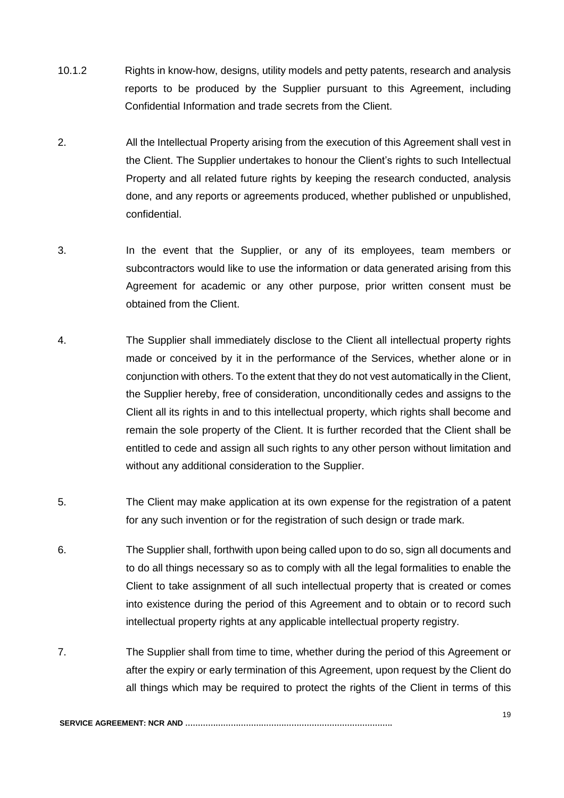- 10.1.2 Rights in know-how, designs, utility models and petty patents, research and analysis reports to be produced by the Supplier pursuant to this Agreement, including Confidential Information and trade secrets from the Client.
- 2. All the Intellectual Property arising from the execution of this Agreement shall vest in the Client. The Supplier undertakes to honour the Client's rights to such Intellectual Property and all related future rights by keeping the research conducted, analysis done, and any reports or agreements produced, whether published or unpublished, confidential.
- 3. In the event that the Supplier, or any of its employees, team members or subcontractors would like to use the information or data generated arising from this Agreement for academic or any other purpose, prior written consent must be obtained from the Client.
- 4. The Supplier shall immediately disclose to the Client all intellectual property rights made or conceived by it in the performance of the Services, whether alone or in conjunction with others. To the extent that they do not vest automatically in the Client, the Supplier hereby, free of consideration, unconditionally cedes and assigns to the Client all its rights in and to this intellectual property, which rights shall become and remain the sole property of the Client. It is further recorded that the Client shall be entitled to cede and assign all such rights to any other person without limitation and without any additional consideration to the Supplier.
- 5. The Client may make application at its own expense for the registration of a patent for any such invention or for the registration of such design or trade mark.
- 6. The Supplier shall, forthwith upon being called upon to do so, sign all documents and to do all things necessary so as to comply with all the legal formalities to enable the Client to take assignment of all such intellectual property that is created or comes into existence during the period of this Agreement and to obtain or to record such intellectual property rights at any applicable intellectual property registry.
- 7. The Supplier shall from time to time, whether during the period of this Agreement or after the expiry or early termination of this Agreement, upon request by the Client do all things which may be required to protect the rights of the Client in terms of this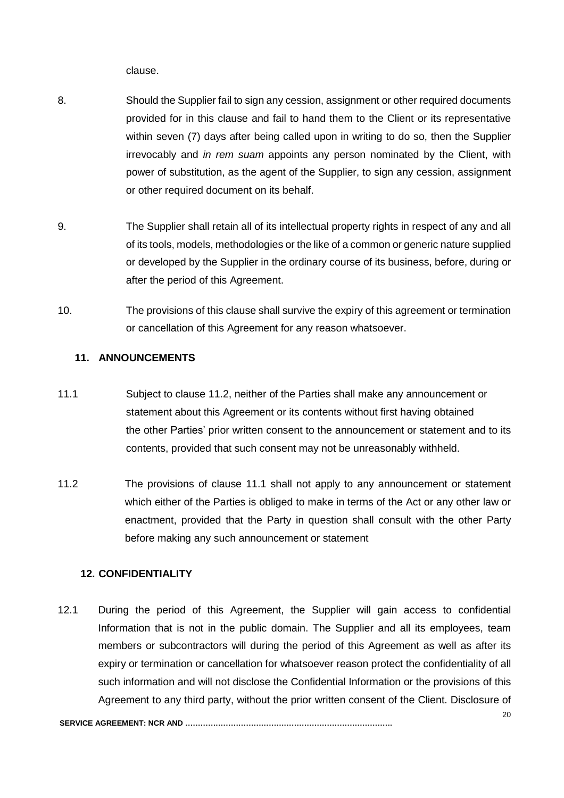clause.

- 8. Should the Supplier fail to sign any cession, assignment or other required documents provided for in this clause and fail to hand them to the Client or its representative within seven (7) days after being called upon in writing to do so, then the Supplier irrevocably and *in rem suam* appoints any person nominated by the Client, with power of substitution, as the agent of the Supplier, to sign any cession, assignment or other required document on its behalf.
- 9. The Supplier shall retain all of its intellectual property rights in respect of any and all of its tools, models, methodologies or the like of a common or generic nature supplied or developed by the Supplier in the ordinary course of its business, before, during or after the period of this Agreement.
- 10. The provisions of this clause shall survive the expiry of this agreement or termination or cancellation of this Agreement for any reason whatsoever.

### **11. ANNOUNCEMENTS**

- 11.1 Subject to clause 11.2, neither of the Parties shall make any announcement or statement about this Agreement or its contents without first having obtained the other Parties' prior written consent to the announcement or statement and to its contents, provided that such consent may not be unreasonably withheld.
- 11.2 The provisions of clause 11.1 shall not apply to any announcement or statement which either of the Parties is obliged to make in terms of the Act or any other law or enactment, provided that the Party in question shall consult with the other Party before making any such announcement or statement

#### **12. CONFIDENTIALITY**

12.1 During the period of this Agreement, the Supplier will gain access to confidential Information that is not in the public domain. The Supplier and all its employees, team members or subcontractors will during the period of this Agreement as well as after its expiry or termination or cancellation for whatsoever reason protect the confidentiality of all such information and will not disclose the Confidential Information or the provisions of this Agreement to any third party, without the prior written consent of the Client. Disclosure of

20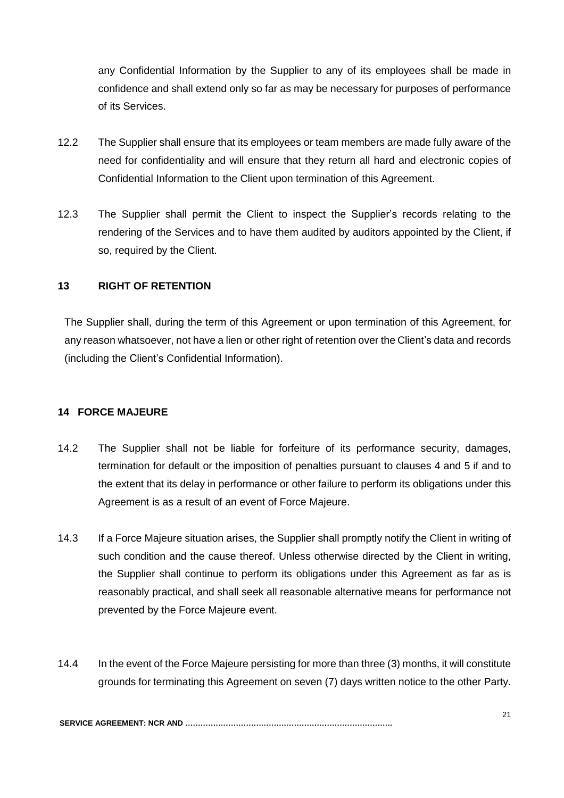any Confidential Information by the Supplier to any of its employees shall be made in confidence and shall extend only so far as may be necessary for purposes of performance of its Services.

- 12.2 The Supplier shall ensure that its employees or team members are made fully aware of the need for confidentiality and will ensure that they return all hard and electronic copies of Confidential Information to the Client upon termination of this Agreement.
- 12.3 The Supplier shall permit the Client to inspect the Supplier's records relating to the rendering of the Services and to have them audited by auditors appointed by the Client, if so, required by the Client.

### **13 RIGHT OF RETENTION**

The Supplier shall, during the term of this Agreement or upon termination of this Agreement, for any reason whatsoever, not have a lien or other right of retention over the Client's data and records (including the Client's Confidential Information).

#### **14 FORCE MAJEURE**

- 14.2 The Supplier shall not be liable for forfeiture of its performance security, damages, termination for default or the imposition of penalties pursuant to clauses 4 and 5 if and to the extent that its delay in performance or other failure to perform its obligations under this Agreement is as a result of an event of Force Majeure.
- 14.3 If a Force Majeure situation arises, the Supplier shall promptly notify the Client in writing of such condition and the cause thereof. Unless otherwise directed by the Client in writing, the Supplier shall continue to perform its obligations under this Agreement as far as is reasonably practical, and shall seek all reasonable alternative means for performance not prevented by the Force Majeure event.
- 14.4 In the event of the Force Majeure persisting for more than three (3) months, it will constitute grounds for terminating this Agreement on seven (7) days written notice to the other Party.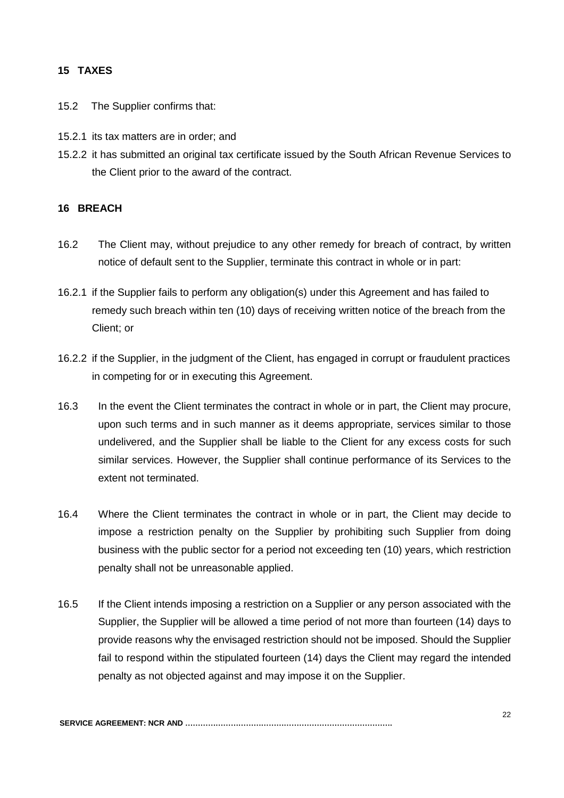## **15 TAXES**

- 15.2 The Supplier confirms that:
- 15.2.1 its tax matters are in order; and
- 15.2.2 it has submitted an original tax certificate issued by the South African Revenue Services to the Client prior to the award of the contract.

#### **16 BREACH**

- 16.2 The Client may, without prejudice to any other remedy for breach of contract, by written notice of default sent to the Supplier, terminate this contract in whole or in part:
- 16.2.1 if the Supplier fails to perform any obligation(s) under this Agreement and has failed to remedy such breach within ten (10) days of receiving written notice of the breach from the Client; or
- 16.2.2 if the Supplier, in the judgment of the Client, has engaged in corrupt or fraudulent practices in competing for or in executing this Agreement.
- 16.3 In the event the Client terminates the contract in whole or in part, the Client may procure, upon such terms and in such manner as it deems appropriate, services similar to those undelivered, and the Supplier shall be liable to the Client for any excess costs for such similar services. However, the Supplier shall continue performance of its Services to the extent not terminated.
- 16.4 Where the Client terminates the contract in whole or in part, the Client may decide to impose a restriction penalty on the Supplier by prohibiting such Supplier from doing business with the public sector for a period not exceeding ten (10) years, which restriction penalty shall not be unreasonable applied.
- 16.5 If the Client intends imposing a restriction on a Supplier or any person associated with the Supplier, the Supplier will be allowed a time period of not more than fourteen (14) days to provide reasons why the envisaged restriction should not be imposed. Should the Supplier fail to respond within the stipulated fourteen (14) days the Client may regard the intended penalty as not objected against and may impose it on the Supplier.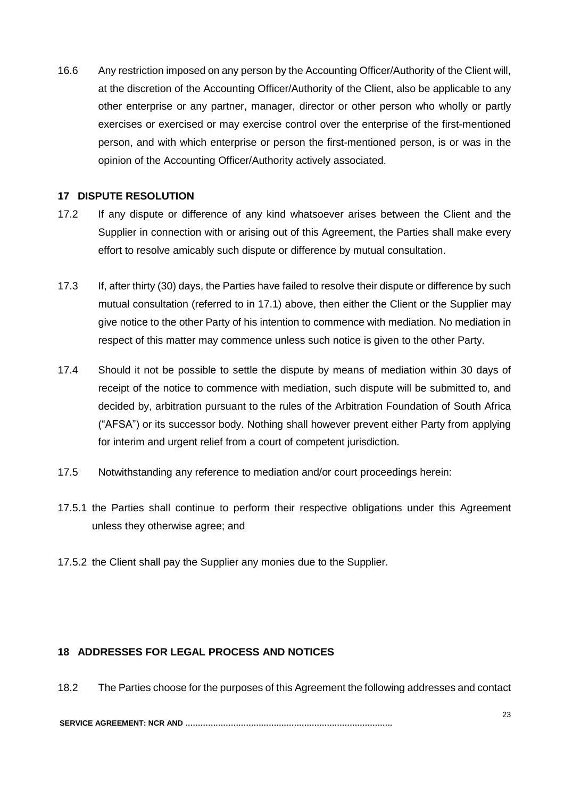16.6 Any restriction imposed on any person by the Accounting Officer/Authority of the Client will, at the discretion of the Accounting Officer/Authority of the Client, also be applicable to any other enterprise or any partner, manager, director or other person who wholly or partly exercises or exercised or may exercise control over the enterprise of the first-mentioned person, and with which enterprise or person the first-mentioned person, is or was in the opinion of the Accounting Officer/Authority actively associated.

## **17 DISPUTE RESOLUTION**

- 17.2 If any dispute or difference of any kind whatsoever arises between the Client and the Supplier in connection with or arising out of this Agreement, the Parties shall make every effort to resolve amicably such dispute or difference by mutual consultation.
- 17.3 If, after thirty (30) days, the Parties have failed to resolve their dispute or difference by such mutual consultation (referred to in 17.1) above, then either the Client or the Supplier may give notice to the other Party of his intention to commence with mediation. No mediation in respect of this matter may commence unless such notice is given to the other Party.
- 17.4 Should it not be possible to settle the dispute by means of mediation within 30 days of receipt of the notice to commence with mediation, such dispute will be submitted to, and decided by, arbitration pursuant to the rules of the Arbitration Foundation of South Africa ("AFSA") or its successor body. Nothing shall however prevent either Party from applying for interim and urgent relief from a court of competent jurisdiction.
- 17.5 Notwithstanding any reference to mediation and/or court proceedings herein:
- 17.5.1 the Parties shall continue to perform their respective obligations under this Agreement unless they otherwise agree; and
- 17.5.2 the Client shall pay the Supplier any monies due to the Supplier.

# **18 ADDRESSES FOR LEGAL PROCESS AND NOTICES**

18.2 The Parties choose for the purposes of this Agreement the following addresses and contact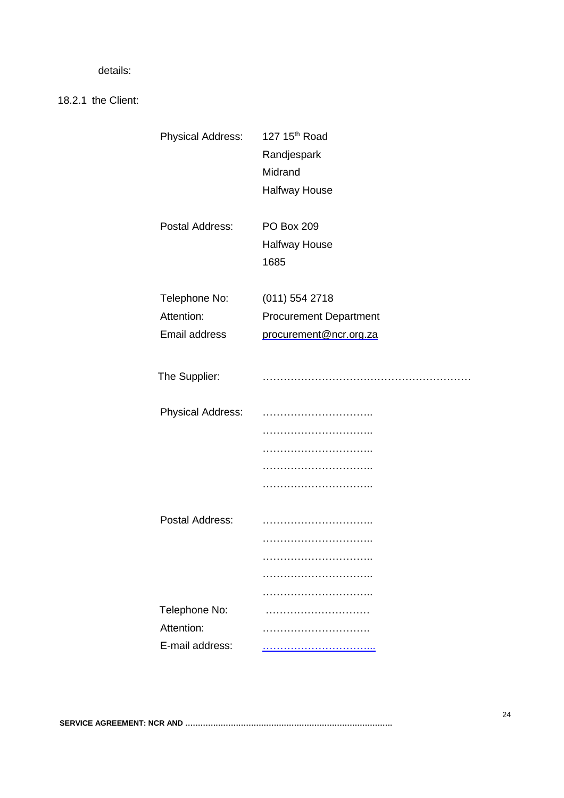details:

18.2.1 the Client:

| <b>Physical Address:</b> | 127 15th Road                 |
|--------------------------|-------------------------------|
|                          | Randjespark                   |
|                          | Midrand                       |
|                          | <b>Halfway House</b>          |
| Postal Address:          | <b>PO Box 209</b>             |
|                          | <b>Halfway House</b>          |
|                          | 1685                          |
| Telephone No:            | $(011)$ 554 2718              |
| Attention:               | <b>Procurement Department</b> |
| Email address            | procurement@ncr.org.za        |
|                          |                               |
| The Supplier:            |                               |
| <b>Physical Address:</b> |                               |
|                          |                               |
|                          |                               |
|                          |                               |
|                          |                               |
|                          |                               |
| Postal Address:          |                               |
|                          |                               |
|                          |                               |
|                          |                               |
|                          |                               |
| Telephone No:            |                               |
| Attention:               |                               |
| E-mail address:          |                               |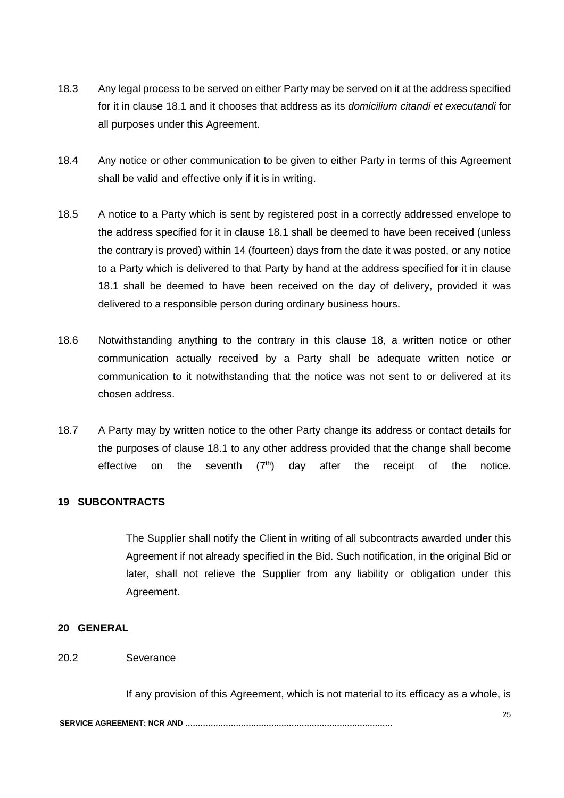- 18.3 Any legal process to be served on either Party may be served on it at the address specified for it in clause 18.1 and it chooses that address as its *domicilium citandi et executandi* for all purposes under this Agreement.
- 18.4 Any notice or other communication to be given to either Party in terms of this Agreement shall be valid and effective only if it is in writing.
- 18.5 A notice to a Party which is sent by registered post in a correctly addressed envelope to the address specified for it in clause 18.1 shall be deemed to have been received (unless the contrary is proved) within 14 (fourteen) days from the date it was posted, or any notice to a Party which is delivered to that Party by hand at the address specified for it in clause 18.1 shall be deemed to have been received on the day of delivery, provided it was delivered to a responsible person during ordinary business hours.
- 18.6 Notwithstanding anything to the contrary in this clause 18, a written notice or other communication actually received by a Party shall be adequate written notice or communication to it notwithstanding that the notice was not sent to or delivered at its chosen address.
- 18.7 A Party may by written notice to the other Party change its address or contact details for the purposes of clause 18.1 to any other address provided that the change shall become effective on the seventh  $(7<sup>th</sup>)$  day after the receipt of the notice.

#### **19 SUBCONTRACTS**

The Supplier shall notify the Client in writing of all subcontracts awarded under this Agreement if not already specified in the Bid. Such notification, in the original Bid or later, shall not relieve the Supplier from any liability or obligation under this Agreement.

#### **20 GENERAL**

# 20.2 Severance

If any provision of this Agreement, which is not material to its efficacy as a whole, is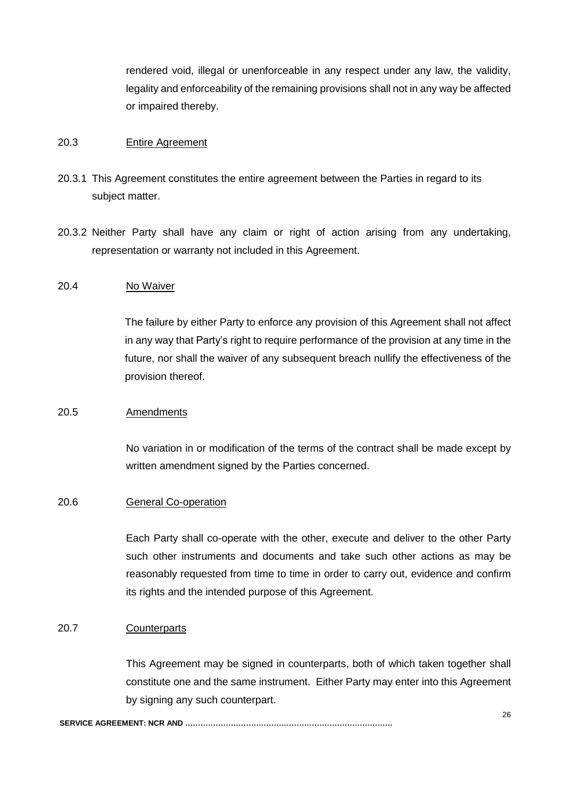rendered void, illegal or unenforceable in any respect under any law, the validity, legality and enforceability of the remaining provisions shall not in any way be affected or impaired thereby.

## 20.3 Entire Agreement

- 20.3.1 This Agreement constitutes the entire agreement between the Parties in regard to its subject matter.
- 20.3.2 Neither Party shall have any claim or right of action arising from any undertaking, representation or warranty not included in this Agreement.

#### 20.4 No Waiver

The failure by either Party to enforce any provision of this Agreement shall not affect in any way that Party's right to require performance of the provision at any time in the future, nor shall the waiver of any subsequent breach nullify the effectiveness of the provision thereof.

#### 20.5 Amendments

No variation in or modification of the terms of the contract shall be made except by written amendment signed by the Parties concerned.

#### 20.6 General Co-operation

Each Party shall co-operate with the other, execute and deliver to the other Party such other instruments and documents and take such other actions as may be reasonably requested from time to time in order to carry out, evidence and confirm its rights and the intended purpose of this Agreement.

#### 20.7 Counterparts

This Agreement may be signed in counterparts, both of which taken together shall constitute one and the same instrument. Either Party may enter into this Agreement by signing any such counterpart.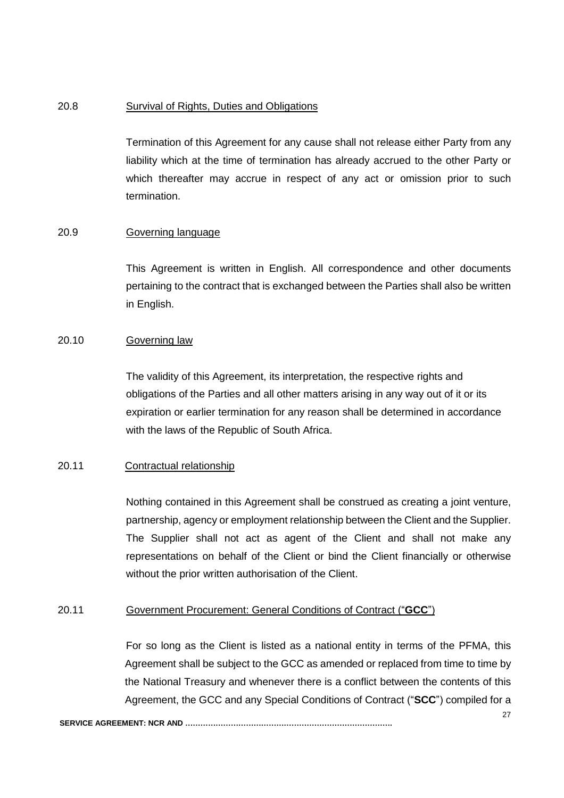#### 20.8 Survival of Rights, Duties and Obligations

Termination of this Agreement for any cause shall not release either Party from any liability which at the time of termination has already accrued to the other Party or which thereafter may accrue in respect of any act or omission prior to such termination.

#### 20.9 Governing language

This Agreement is written in English. All correspondence and other documents pertaining to the contract that is exchanged between the Parties shall also be written in English.

#### 20.10 Governing law

The validity of this Agreement, its interpretation, the respective rights and obligations of the Parties and all other matters arising in any way out of it or its expiration or earlier termination for any reason shall be determined in accordance with the laws of the Republic of South Africa.

#### 20.11 Contractual relationship

Nothing contained in this Agreement shall be construed as creating a joint venture, partnership, agency or employment relationship between the Client and the Supplier. The Supplier shall not act as agent of the Client and shall not make any representations on behalf of the Client or bind the Client financially or otherwise without the prior written authorisation of the Client.

#### 20.11 Government Procurement: General Conditions of Contract ("**GCC**")

For so long as the Client is listed as a national entity in terms of the PFMA, this Agreement shall be subject to the GCC as amended or replaced from time to time by the National Treasury and whenever there is a conflict between the contents of this Agreement, the GCC and any Special Conditions of Contract ("**SCC**") compiled for a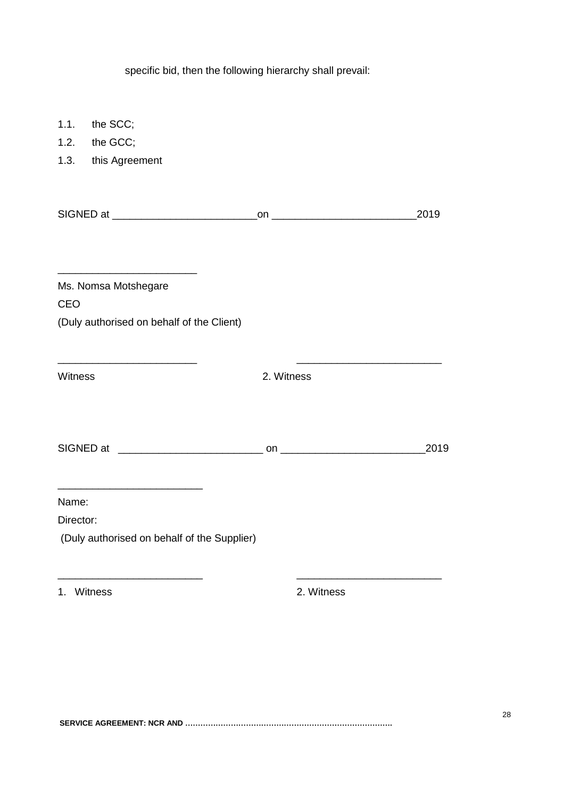specific bid, then the following hierarchy shall prevail:

| 1.1.      | the SCC;                                    |            |       |
|-----------|---------------------------------------------|------------|-------|
|           | 1.2. the GCC;                               |            |       |
|           | 1.3. this Agreement                         |            |       |
|           |                                             |            | _2019 |
|           |                                             |            |       |
| CEO       | Ms. Nomsa Motshegare                        |            |       |
|           | (Duly authorised on behalf of the Client)   |            |       |
| Witness   |                                             | 2. Witness |       |
|           |                                             |            | 2019  |
| Name:     |                                             |            |       |
| Director: |                                             |            |       |
|           | (Duly authorised on behalf of the Supplier) |            |       |
| 1.        | Witness                                     | 2. Witness |       |
|           |                                             |            |       |
|           |                                             |            |       |